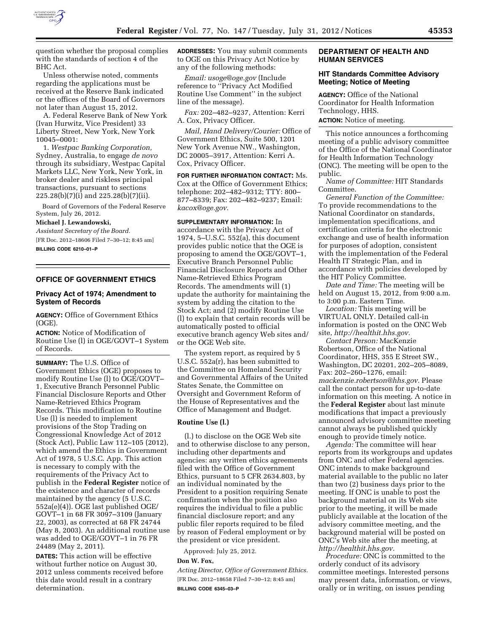

question whether the proposal complies with the standards of section 4 of the BHC Act.

Unless otherwise noted, comments regarding the applications must be received at the Reserve Bank indicated or the offices of the Board of Governors not later than August 15, 2012.

A. Federal Reserve Bank of New York (Ivan Hurwitz, Vice President) 33 Liberty Street, New York, New York 10045–0001:

1. *Westpac Banking Corporation,*  Sydney, Australia, to engage *de novo*  through its subsidiary, Westpac Capital Markets LLC, New York, New York, in broker dealer and riskless principal transactions, pursuant to sections 225.28(b)(7)(i) and 225.28(b)(7)(ii).

Board of Governors of the Federal Reserve System, July 26, 2012.

#### **Michael J. Lewandowski,**

*Assistant Secretary of the Board.*  [FR Doc. 2012–18606 Filed 7–30–12; 8:45 am] **BILLING CODE 6210–01–P** 

### **OFFICE OF GOVERNMENT ETHICS**

# **Privacy Act of 1974; Amendment to System of Records**

**AGENCY:** Office of Government Ethics (OGE).

**ACTION:** Notice of Modification of Routine Use (l) in OGE/GOVT–1 System of Records.

**SUMMARY:** The U.S. Office of Government Ethics (OGE) proposes to modify Routine Use (l) to OGE/GOVT– 1, Executive Branch Personnel Public Financial Disclosure Reports and Other Name-Retrieved Ethics Program Records. This modification to Routine Use (l) is needed to implement provisions of the Stop Trading on Congressional Knowledge Act of 2012 (Stock Act), Public Law 112–105 (2012), which amend the Ethics in Government Act of 1978, 5 U.S.C. App. This action is necessary to comply with the requirements of the Privacy Act to publish in the **Federal Register** notice of the existence and character of records maintained by the agency (5 U.S.C. 552a(e)(4)). OGE last published OGE/ GOVT–1 in 68 FR 3097–3109 (January 22, 2003), as corrected at 68 FR 24744 (May 8, 2003). An additional routine use was added to OGE/GOVT–1 in 76 FR 24489 (May 2, 2011).

**DATES:** This action will be effective without further notice on August 30, 2012 unless comments received before this date would result in a contrary determination.

**ADDRESSES:** You may submit comments to OGE on this Privacy Act Notice by any of the following methods:

*Email: [usoge@oge.gov](mailto:usoge@oge.gov)* (Include reference to ''Privacy Act Modified Routine Use Comment'' in the subject line of the message).

*Fax:* 202–482–9237, Attention: Kerri A. Cox, Privacy Officer.

*Mail, Hand Delivery/Courier:* Office of Government Ethics, Suite 500, 1201 New York Avenue NW., Washington, DC 20005–3917, Attention: Kerri A. Cox, Privacy Officer.

**FOR FURTHER INFORMATION CONTACT:** Ms. Cox at the Office of Government Ethics; telephone: 202–482–9312; TTY: 800– 877–8339; Fax: 202–482–9237; Email: *[kacox@oge.gov.](mailto:kacox@oge.gov)* 

**SUPPLEMENTARY INFORMATION:** In accordance with the Privacy Act of 1974, 5–U.S.C. 552(a), this document provides public notice that the OGE is proposing to amend the OGE/GOVT–1, Executive Branch Personnel Public Financial Disclosure Reports and Other Name-Retrieved Ethics Program Records. The amendments will (1) update the authority for maintaining the system by adding the citation to the Stock Act; and (2) modify Routine Use (l) to explain that certain records will be automatically posted to official executive branch agency Web sites and/ or the OGE Web site.

The system report, as required by 5 U.S.C. 552a(r), has been submitted to the Committee on Homeland Security and Governmental Affairs of the United States Senate, the Committee on Oversight and Government Reform of the House of Representatives and the Office of Management and Budget.

#### **Routine Use (l.)**

(l.) to disclose on the OGE Web site and to otherwise disclose to any person, including other departments and agencies: any written ethics agreements filed with the Office of Government Ethics, pursuant to 5 CFR 2634.803, by an individual nominated by the President to a position requiring Senate confirmation when the position also requires the individual to file a public financial disclosure report; and any public filer reports required to be filed by reason of Federal employment or by the president or vice president.

Approved: July 25, 2012.

#### **Don W. Fox,**

*Acting Director, Office of Government Ethics.*  [FR Doc. 2012–18658 Filed 7–30–12; 8:45 am] **BILLING CODE 6345–03–P** 

### **DEPARTMENT OF HEALTH AND HUMAN SERVICES**

#### **HIT Standards Committee Advisory Meeting; Notice of Meeting**

**AGENCY:** Office of the National Coordinator for Health Information Technology, HHS. **ACTION:** Notice of meeting.

This notice announces a forthcoming meeting of a public advisory committee of the Office of the National Coordinator for Health Information Technology (ONC). The meeting will be open to the

public. *Name of Committee:* HIT Standards Committee.

*General Function of the Committee:*  To provide recommendations to the National Coordinator on standards, implementation specifications, and certification criteria for the electronic exchange and use of health information for purposes of adoption, consistent with the implementation of the Federal Health IT Strategic Plan, and in accordance with policies developed by the HIT Policy Committee.

*Date and Time:* The meeting will be held on August 15, 2012, from 9:00 a.m. to 3:00 p.m. Eastern Time.

*Location:* This meeting will be VIRTUAL ONLY. Detailed call-in information is posted on the ONC Web site, *[http://healthit.hhs.gov.](http://healthit.hhs.gov)* 

*Contact Person:* MacKenzie Robertson, Office of the National Coordinator, HHS, 355 E Street SW., Washington, DC 20201, 202–205–8089, Fax: 202–260–1276, email: *[mackenzie.robertson@hhs.gov.](mailto:mackenzie.robertson@hhs.gov)* Please call the contact person for up-to-date information on this meeting. A notice in the **Federal Register** about last minute modifications that impact a previously announced advisory committee meeting cannot always be published quickly enough to provide timely notice.

*Agenda:* The committee will hear reports from its workgroups and updates from ONC and other Federal agencies. ONC intends to make background material available to the public no later than two (2) business days prior to the meeting. If ONC is unable to post the background material on its Web site prior to the meeting, it will be made publicly available at the location of the advisory committee meeting, and the background material will be posted on ONC's Web site after the meeting, at *[http://healthit.hhs.gov.](http://healthit.hhs.gov)* 

*Procedure:* ONC is committed to the orderly conduct of its advisory committee meetings. Interested persons may present data, information, or views, orally or in writing, on issues pending